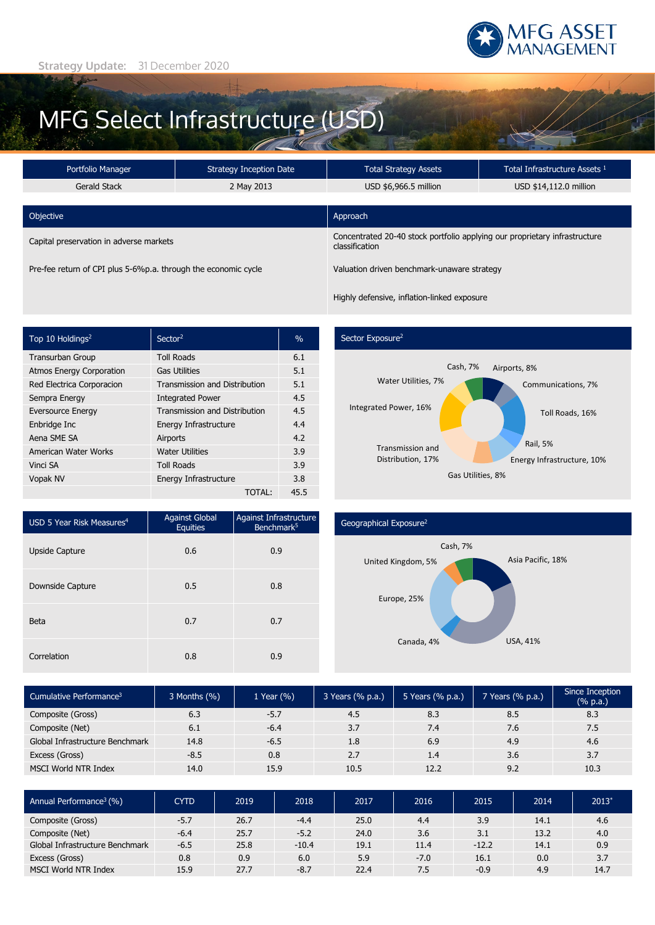

# MFG Select Infrastructure (USD)

| Portfolio Manager                                              | Strategy Inception Date |                                                                                              | Total Infrastructure Assets <sup>1</sup> |  |  |
|----------------------------------------------------------------|-------------------------|----------------------------------------------------------------------------------------------|------------------------------------------|--|--|
| Gerald Stack                                                   | 2 May 2013              | USD \$14,112.0 million<br>USD \$6,966.5 million                                              |                                          |  |  |
| Objective                                                      |                         | Approach                                                                                     |                                          |  |  |
| Capital preservation in adverse markets                        |                         | Concentrated 20-40 stock portfolio applying our proprietary infrastructure<br>classification |                                          |  |  |
| Pre-fee return of CPI plus 5-6%p.a. through the economic cycle |                         | Valuation driven benchmark-unaware strategy                                                  |                                          |  |  |

Top 10 Holdings<sup>2</sup> Sector<sup>2</sup> Sector<sup>2</sup> Sector<sup>2</sup> Transurban Group Toll Roads 6.1 Atmos Energy Corporation Gas Utilities 5.1 Red Electrica Corporacion Transmission and Distribution 5.1 Sempra Energy **Integrated Power 4.5** Eversource Energy Transmission and Distribution 4.5 Enbridge Inc **Energy Infrastructure** 4.4 Aena SME SA Airports 4.2 American Water Works Water Utilities 3.9 Vinci SA **Toll Roads** 3.9 Vopak NV Energy Infrastructure 3.8

## Sector Exposure<sup>2</sup>

Highly defensive, inflation-linked exposure



| USD 5 Year Risk Measures <sup>4</sup> | <b>Against Global</b><br><b>Equities</b> | Against Infrastructure<br>Benchmark <sup>5</sup> |  |  |
|---------------------------------------|------------------------------------------|--------------------------------------------------|--|--|
| <b>Upside Capture</b>                 | 0.6                                      | 0.9                                              |  |  |
| Downside Capture                      | 0.5                                      | 0.8                                              |  |  |
| <b>Beta</b>                           | 0.7                                      | 0.7                                              |  |  |
| Correlation                           | 0.8                                      | 0.9                                              |  |  |

#### Geographical Exposure2



| Cumulative Performance <sup>3</sup> | 3 Months (%) | 1 Year $(\% )$ | 3 Years (% p.a.) | 5 Years (% p.a.) | 7 Years (% p.a.) | Since Inception<br>$(% \mathbb{R}^2)$ (% p.a.) |
|-------------------------------------|--------------|----------------|------------------|------------------|------------------|------------------------------------------------|
| Composite (Gross)                   | 6.3          | $-5.7$         | 4.5              | 8.3              | 8.5              | 8.3                                            |
| Composite (Net)                     | 6.1          | $-6.4$         | 3.7              | 7.4              | 7.6              | 7.5                                            |
| Global Infrastructure Benchmark     | 14.8         | $-6.5$         | 1.8              | 6.9              | 4.9              | 4.6                                            |
| Excess (Gross)                      | $-8.5$       | 0.8            | 2.7              | 1.4              | 3.6              | 3.7                                            |
| <b>MSCI World NTR Index</b>         | 14.0         | 15.9           | 10.5             | 12.2             | 9.2              | 10.3                                           |

TOTAL: 45.5

| Annual Performance <sup>3</sup> (%) | <b>CYTD</b> | 2019 | 2018    | 2017 | 2016   | 2015    | 2014 | $2013*$ |
|-------------------------------------|-------------|------|---------|------|--------|---------|------|---------|
| Composite (Gross)                   | $-5.7$      | 26.7 | $-4.4$  | 25.0 | 4.4    | 3.9     | 14.1 | 4.6     |
| Composite (Net)                     | $-6.4$      | 25.7 | $-5.2$  | 24.0 | 3.6    | 3.1     | 13.2 | 4.0     |
| Global Infrastructure Benchmark     | $-6.5$      | 25.8 | $-10.4$ | 19.1 | 11.4   | $-12.2$ | 14.1 | 0.9     |
| Excess (Gross)                      | 0.8         | 0.9  | 6.0     | 5.9  | $-7.0$ | 16.1    | 0.0  | 3.7     |
| MSCI World NTR Index                | 15.9        | 27.7 | $-8.7$  | 22.4 | 7.5    | $-0.9$  | 4.9  | 14.7    |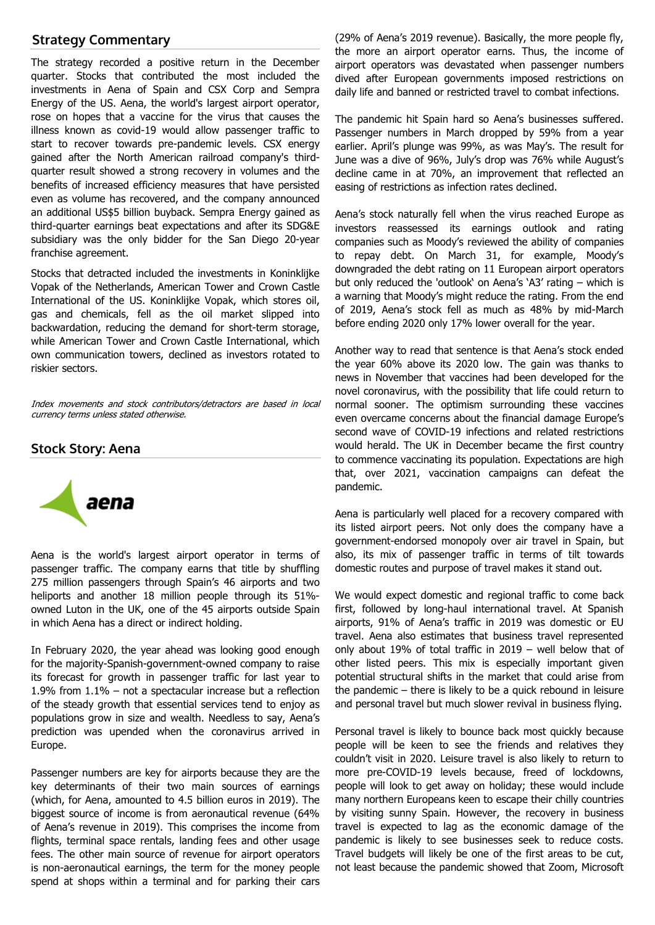## **Strategy Commentary**

The strategy recorded a positive return in the December quarter. Stocks that contributed the most included the investments in Aena of Spain and CSX Corp and Sempra Energy of the US. Aena, the world's largest airport operator, rose on hopes that a vaccine for the virus that causes the illness known as covid-19 would allow passenger traffic to start to recover towards pre-pandemic levels. CSX energy gained after the North American railroad company's thirdquarter result showed a strong recovery in volumes and the benefits of increased efficiency measures that have persisted even as volume has recovered, and the company announced an additional US\$5 billion buyback. Sempra Energy gained as third-quarter earnings beat expectations and after its SDG&E subsidiary was the only bidder for the San Diego 20-year franchise agreement.

Stocks that detracted included the investments in Koninklijke Vopak of the Netherlands, American Tower and Crown Castle International of the US. Koninklijke Vopak, which stores oil, gas and chemicals, fell as the oil market slipped into backwardation, reducing the demand for short-term storage, while American Tower and Crown Castle International, which own communication towers, declined as investors rotated to riskier sectors.

Index movements and stock contributors/detractors are based in local currency terms unless stated otherwise.

### **Stock Story: Aena**



Aena is the world's largest airport operator in terms of passenger traffic. The company earns that title by shuffling 275 million passengers through Spain's 46 airports and two heliports and another 18 million people through its 51% owned Luton in the UK, one of the 45 airports outside Spain in which Aena has a direct or indirect holding.

In February 2020, the year ahead was looking good enough for the majority-Spanish-government-owned company to raise its forecast for growth in passenger traffic for last year to 1.9% from 1.1% – not a spectacular increase but a reflection of the steady growth that essential services tend to enjoy as populations grow in size and wealth. Needless to say, Aena's prediction was upended when the coronavirus arrived in Europe.

Passenger numbers are key for airports because they are the key determinants of their two main sources of earnings (which, for Aena, amounted to 4.5 billion euros in 2019). The biggest source of income is from aeronautical revenue (64% of Aena's revenue in 2019). This comprises the income from flights, terminal space rentals, landing fees and other usage fees. The other main source of revenue for airport operators is non-aeronautical earnings, the term for the money people spend at shops within a terminal and for parking their cars

(29% of Aena's 2019 revenue). Basically, the more people fly, the more an airport operator earns. Thus, the income of airport operators was devastated when passenger numbers dived after European governments imposed restrictions on daily life and banned or restricted travel to combat infections.

The pandemic hit Spain hard so Aena's businesses suffered. Passenger numbers in March dropped by 59% from a year earlier. April's plunge was 99%, as was May's. The result for June was a dive of 96%, July's drop was 76% while August's decline came in at 70%, an improvement that reflected an easing of restrictions as infection rates declined.

Aena's stock naturally fell when the virus reached Europe as investors reassessed its earnings outlook and rating companies such as Moody's reviewed the ability of companies to repay debt. On March 31, for example, Moody's downgraded the debt rating on 11 European airport operators but only reduced the 'outlook' on Aena's 'A3' rating – which is a warning that Moody's might reduce the rating. From the end of 2019, Aena's stock fell as much as 48% by mid-March before ending 2020 only 17% lower overall for the year.

Another way to read that sentence is that Aena's stock ended the year 60% above its 2020 low. The gain was thanks to news in November that vaccines had been developed for the novel coronavirus, with the possibility that life could return to normal sooner. The optimism surrounding these vaccines even overcame concerns about the financial damage Europe's second wave of COVID-19 infections and related restrictions would herald. The UK in December became the first country to commence vaccinating its population. Expectations are high that, over 2021, vaccination campaigns can defeat the pandemic.

Aena is particularly well placed for a recovery compared with its listed airport peers. Not only does the company have a government-endorsed monopoly over air travel in Spain, but also, its mix of passenger traffic in terms of tilt towards domestic routes and purpose of travel makes it stand out.

We would expect domestic and regional traffic to come back first, followed by long-haul international travel. At Spanish airports, 91% of Aena's traffic in 2019 was domestic or EU travel. Aena also estimates that business travel represented only about 19% of total traffic in 2019 – well below that of other listed peers. This mix is especially important given potential structural shifts in the market that could arise from the pandemic – there is likely to be a quick rebound in leisure and personal travel but much slower revival in business flying.

Personal travel is likely to bounce back most quickly because people will be keen to see the friends and relatives they couldn't visit in 2020. Leisure travel is also likely to return to more pre-COVID-19 levels because, freed of lockdowns, people will look to get away on holiday; these would include many northern Europeans keen to escape their chilly countries by visiting sunny Spain. However, the recovery in business travel is expected to lag as the economic damage of the pandemic is likely to see businesses seek to reduce costs. Travel budgets will likely be one of the first areas to be cut, not least because the pandemic showed that Zoom, Microsoft